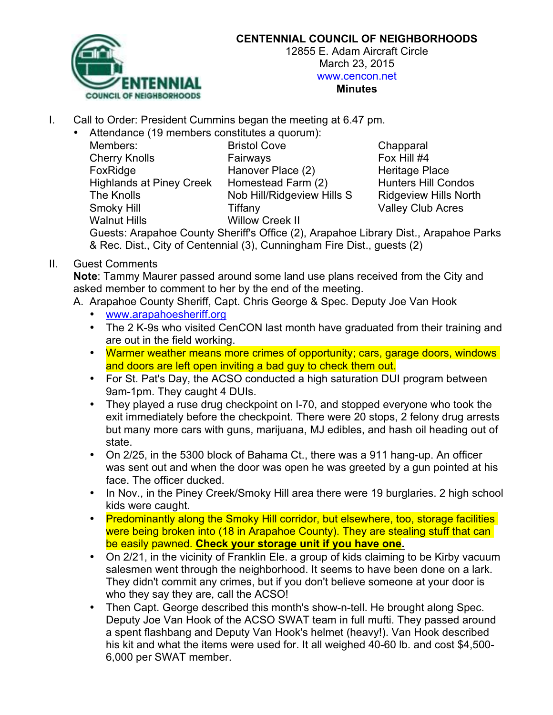

## **CENTENNIAL COUNCIL OF NEIGHBORHOODS**

12855 E. Adam Aircraft Circle March 23, 2015 www.cencon.net **Minutes**

I. Call to Order: President Cummins began the meeting at 6.47 pm.

• Attendance (19 members constitutes a quorum):

| <b>Bristol Cove</b>      |
|--------------------------|
| Fairways                 |
| Hanover Place (2)        |
| Homestead Farm (2)       |
| Nob Hill/Ridgeview Hills |
| Tiffany                  |
| <b>Willow Creek II</b>   |
|                          |

Chapparal Fox Hill #4 Heritage Place Hunters Hill Condos S Ridgeview Hills North Valley Club Acres

Guests: Arapahoe County Sheriff's Office (2), Arapahoe Library Dist., Arapahoe Parks & Rec. Dist., City of Centennial (3), Cunningham Fire Dist., guests (2)

II. Guest Comments

**Note**: Tammy Maurer passed around some land use plans received from the City and asked member to comment to her by the end of the meeting.

- A. Arapahoe County Sheriff, Capt. Chris George & Spec. Deputy Joe Van Hook
	- www.arapahoesheriff.org
	- The 2 K-9s who visited CenCON last month have graduated from their training and are out in the field working.
	- Warmer weather means more crimes of opportunity; cars, garage doors, windows and doors are left open inviting a bad guy to check them out.
	- For St. Pat's Day, the ACSO conducted a high saturation DUI program between 9am-1pm. They caught 4 DUIs.
	- They played a ruse drug checkpoint on I-70, and stopped everyone who took the exit immediately before the checkpoint. There were 20 stops, 2 felony drug arrests but many more cars with guns, marijuana, MJ edibles, and hash oil heading out of state.
	- On 2/25, in the 5300 block of Bahama Ct., there was a 911 hang-up. An officer was sent out and when the door was open he was greeted by a gun pointed at his face. The officer ducked.
	- In Nov., in the Piney Creek/Smoky Hill area there were 19 burglaries. 2 high school kids were caught.
	- Predominantly along the Smoky Hill corridor, but elsewhere, too, storage facilities were being broken into (18 in Arapahoe County). They are stealing stuff that can be easily pawned. **Check your storage unit if you have one.**
	- On 2/21, in the vicinity of Franklin Ele, a group of kids claiming to be Kirby vacuum salesmen went through the neighborhood. It seems to have been done on a lark. They didn't commit any crimes, but if you don't believe someone at your door is who they say they are, call the ACSO!
	- Then Capt. George described this month's show-n-tell. He brought along Spec. Deputy Joe Van Hook of the ACSO SWAT team in full mufti. They passed around a spent flashbang and Deputy Van Hook's helmet (heavy!). Van Hook described his kit and what the items were used for. It all weighed 40-60 lb. and cost \$4,500- 6,000 per SWAT member.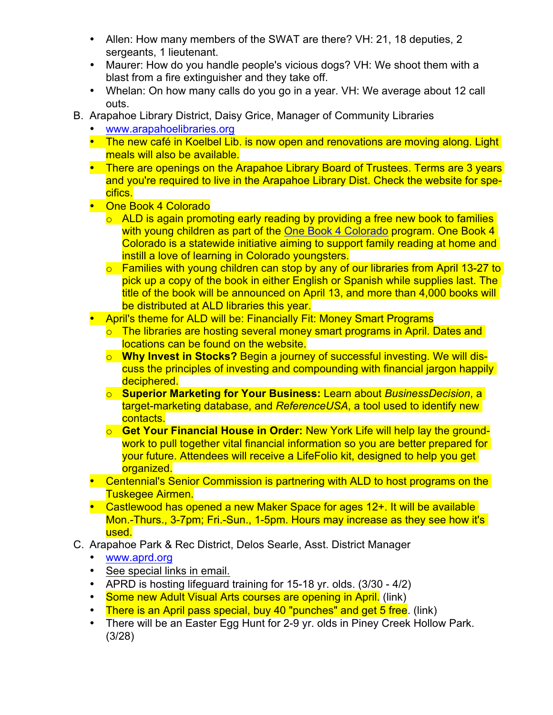- Allen: How many members of the SWAT are there? VH: 21, 18 deputies, 2 sergeants, 1 lieutenant.
- Maurer: How do you handle people's vicious dogs? VH: We shoot them with a blast from a fire extinguisher and they take off.
- Whelan: On how many calls do you go in a year. VH: We average about 12 call outs.
- B. Arapahoe Library District, Daisy Grice, Manager of Community Libraries
	- www.arapahoelibraries.org
	- The new café in Koelbel Lib. is now open and renovations are moving along. Light meals will also be available.
	- There are openings on the Arapahoe Library Board of Trustees. Terms are 3 years and you're required to live in the Arapahoe Library Dist. Check the website for specifics.
	- One Book 4 Colorado
		- $\circ$  ALD is again promoting early reading by providing a free new book to families with young children as part of the One Book 4 Colorado program. One Book 4 Colorado is a statewide initiative aiming to support family reading at home and instill a love of learning in Colorado youngsters.
		- $\circ$  Families with young children can stop by any of our libraries from April 13-27 to pick up a copy of the book in either English or Spanish while supplies last. The title of the book will be announced on April 13, and more than 4,000 books will be distributed at ALD libraries this year.
	- April's theme for ALD will be: Financially Fit: Money Smart Programs
		- o The libraries are hosting several money smart programs in April. Dates and locations can be found on the website.
		- o **Why Invest in Stocks?** Begin a journey of successful investing. We will discuss the principles of investing and compounding with financial jargon happily deciphered.
		- o **Superior Marketing for Your Business:** Learn about *BusinessDecision*, a target-marketing database, and *ReferenceUSA*, a tool used to identify new contacts.
		- o **Get Your Financial House in Order:** New York Life will help lay the groundwork to pull together vital financial information so you are better prepared for your future. Attendees will receive a LifeFolio kit, designed to help you get organized.
	- Centennial's Senior Commission is partnering with ALD to host programs on the Tuskegee Airmen.
	- Castlewood has opened a new Maker Space for ages 12+. It will be available Mon.-Thurs., 3-7pm; Fri.-Sun., 1-5pm. Hours may increase as they see how it's used.
- C. Arapahoe Park & Rec District, Delos Searle, Asst. District Manager
	- www.aprd.org
	- See special links in email.
	- APRD is hosting lifeguard training for 15-18 yr. olds. (3/30 4/2)
	- Some new Adult Visual Arts courses are opening in April. (link)
	- There is an April pass special, buy 40 "punches" and get 5 free. (link)
	- There will be an Easter Egg Hunt for 2-9 yr. olds in Piney Creek Hollow Park. (3/28)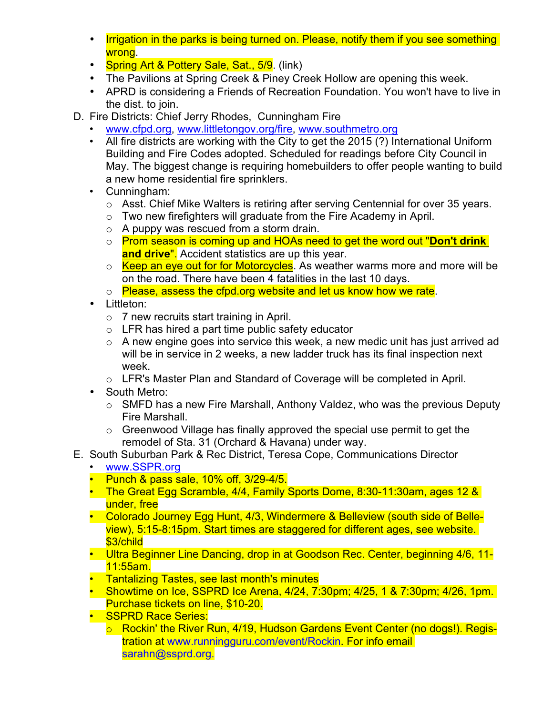- Irrigation in the parks is being turned on. Please, notify them if you see something wrong.
- Spring Art & Pottery Sale, Sat., 5/9. (link)
- The Pavilions at Spring Creek & Piney Creek Hollow are opening this week.
- APRD is considering a Friends of Recreation Foundation. You won't have to live in the dist. to join.
- D. Fire Districts: Chief Jerry Rhodes, Cunningham Fire
	- www.cfpd.org, www.littletongov.org/fire, www.southmetro.org
	- All fire districts are working with the City to get the 2015 (?) International Uniform Building and Fire Codes adopted. Scheduled for readings before City Council in May. The biggest change is requiring homebuilders to offer people wanting to build a new home residential fire sprinklers.
	- Cunningham:
		- o Asst. Chief Mike Walters is retiring after serving Centennial for over 35 years.
		- $\circ$  Two new firefighters will graduate from the Fire Academy in April.
		- o A puppy was rescued from a storm drain.
		- o Prom season is coming up and HOAs need to get the word out "**Don't drink and drive**". Accident statistics are up this year.
		- $\circ$  Keep an eye out for for Motorcycles. As weather warms more and more will be on the road. There have been 4 fatalities in the last 10 days.
		- o Please, assess the cfpd.org website and let us know how we rate.
	- Littleton:
		- o 7 new recruits start training in April.
		- $\circ$  LFR has hired a part time public safety educator
		- $\circ$  A new engine goes into service this week, a new medic unit has just arrived ad will be in service in 2 weeks, a new ladder truck has its final inspection next week.
		- o LFR's Master Plan and Standard of Coverage will be completed in April.
	- South Metro:
		- o SMFD has a new Fire Marshall, Anthony Valdez, who was the previous Deputy Fire Marshall.
		- o Greenwood Village has finally approved the special use permit to get the remodel of Sta. 31 (Orchard & Havana) under way.
- E. South Suburban Park & Rec District, Teresa Cope, Communications Director
	- www.SSPR.org
	- Punch & pass sale, 10% off, 3/29-4/5.
	- The Great Egg Scramble, 4/4, Family Sports Dome, 8:30-11:30am, ages 12 & under, free
	- Colorado Journey Egg Hunt, 4/3, Windermere & Belleview (south side of Belleview), 5:15-8:15pm. Start times are staggered for different ages, see website. \$3/child
	- Ultra Beginner Line Dancing, drop in at Goodson Rec. Center, beginning 4/6, 11-11:55am.
	- Tantalizing Tastes, see last month's minutes
	- Showtime on Ice, SSPRD Ice Arena, 4/24, 7:30pm; 4/25, 1 & 7:30pm; 4/26, 1pm. Purchase tickets on line, \$10-20.
	- **SSPRD Race Series:** 
		- o Rockin' the River Run, 4/19, Hudson Gardens Event Center (no dogs!). Registration at www.runningguru.com/event/Rockin. For info email sarahn@ssprd.org.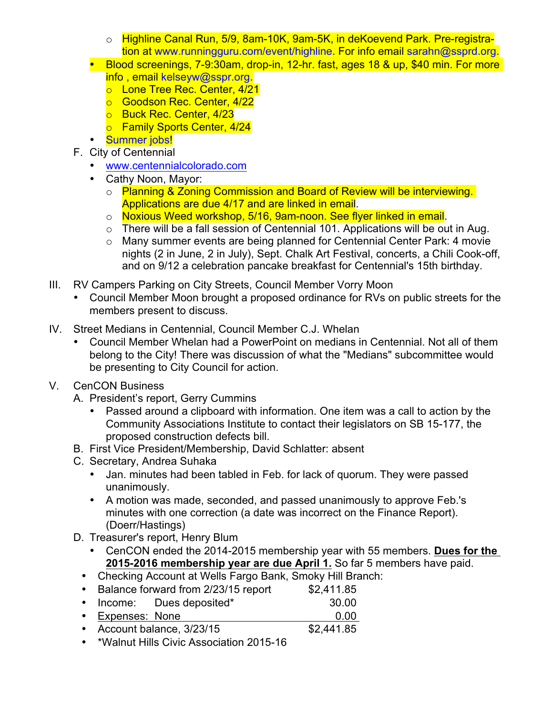- o Highline Canal Run, 5/9, 8am-10K, 9am-5K, in deKoevend Park. Pre-registration at www.runningguru.com/event/highline. For info email sarahn@ssprd.org.
- Blood screenings, 7-9:30am, drop-in, 12-hr. fast, ages 18 & up, \$40 min. For more info , email kelseyw@sspr.org.
	- o Lone Tree Rec. Center, 4/21
	- o Goodson Rec. Center, 4/22
	- **o** Buck Rec. Center, 4/23
	- o Family Sports Center, 4/24
- Summer jobs!
- F. City of Centennial
	- www.centennialcolorado.com
	- Cathy Noon, Mayor:
		- o Planning & Zoning Commission and Board of Review will be interviewing. Applications are due 4/17 and are linked in email.
		- $\circ$  Noxious Weed workshop, 5/16, 9am-noon. See flyer linked in email.
		- o There will be a fall session of Centennial 101. Applications will be out in Aug.
		- o Many summer events are being planned for Centennial Center Park: 4 movie nights (2 in June, 2 in July), Sept. Chalk Art Festival, concerts, a Chili Cook-off, and on 9/12 a celebration pancake breakfast for Centennial's 15th birthday.
- III. RV Campers Parking on City Streets, Council Member Vorry Moon
	- Council Member Moon brought a proposed ordinance for RVs on public streets for the members present to discuss.
- IV. Street Medians in Centennial, Council Member C.J. Whelan
	- Council Member Whelan had a PowerPoint on medians in Centennial. Not all of them belong to the City! There was discussion of what the "Medians" subcommittee would be presenting to City Council for action.
- V. CenCON Business
	- A. President's report, Gerry Cummins
		- Passed around a clipboard with information. One item was a call to action by the Community Associations Institute to contact their legislators on SB 15-177, the proposed construction defects bill.
	- B. First Vice President/Membership, David Schlatter: absent
	- C. Secretary, Andrea Suhaka
		- Jan. minutes had been tabled in Feb. for lack of quorum. They were passed unanimously.
		- A motion was made, seconded, and passed unanimously to approve Feb.'s minutes with one correction (a date was incorrect on the Finance Report). (Doerr/Hastings)
	- D. Treasurer's report, Henry Blum
		- CenCON ended the 2014-2015 membership year with 55 members. **Dues for the 2015-2016 membership year are due April 1.** So far 5 members have paid.
		- Checking Account at Wells Fargo Bank, Smoky Hill Branch:
		- Balance forward from 2/23/15 report \$2,411.85
		- Income: Dues deposited\* 30.00
		- Expenses: None 0.00
		- Account balance, 3/23/15 \$2,441.85
		- \*Walnut Hills Civic Association 2015-16